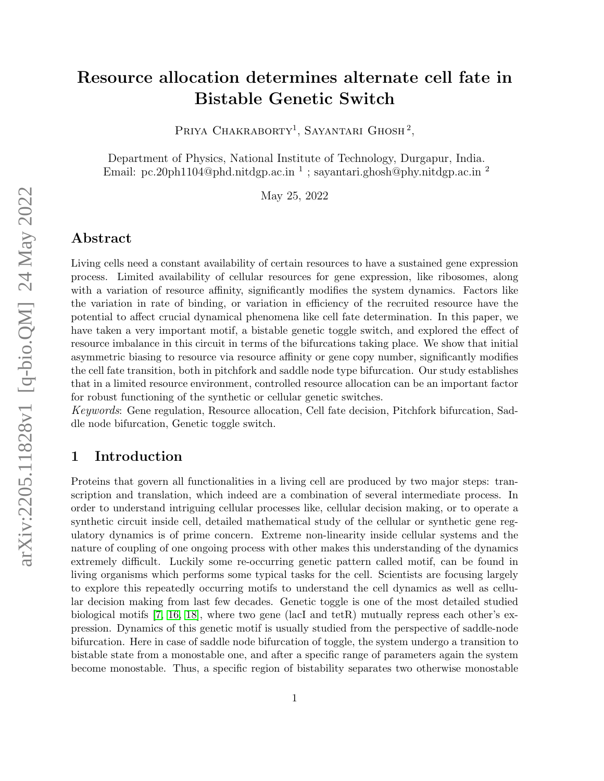# Resource allocation determines alternate cell fate in Bistable Genetic Switch

PRIYA CHAKRABORTY<sup>1</sup>, SAYANTARI GHOSH<sup>2</sup>,

Department of Physics, National Institute of Technology, Durgapur, India. Email: pc.20ph1104@phd.nitdgp.ac.in<sup>1</sup>; sayantari.ghosh@phy.nitdgp.ac.in<sup>2</sup>

May 25, 2022

## Abstract

Living cells need a constant availability of certain resources to have a sustained gene expression process. Limited availability of cellular resources for gene expression, like ribosomes, along with a variation of resource affinity, significantly modifies the system dynamics. Factors like the variation in rate of binding, or variation in efficiency of the recruited resource have the potential to affect crucial dynamical phenomena like cell fate determination. In this paper, we have taken a very important motif, a bistable genetic toggle switch, and explored the effect of resource imbalance in this circuit in terms of the bifurcations taking place. We show that initial asymmetric biasing to resource via resource affinity or gene copy number, significantly modifies the cell fate transition, both in pitchfork and saddle node type bifurcation. Our study establishes that in a limited resource environment, controlled resource allocation can be an important factor for robust functioning of the synthetic or cellular genetic switches.

Keywords: Gene regulation, Resource allocation, Cell fate decision, Pitchfork bifurcation, Saddle node bifurcation, Genetic toggle switch.

# 1 Introduction

Proteins that govern all functionalities in a living cell are produced by two major steps: transcription and translation, which indeed are a combination of several intermediate process. In order to understand intriguing cellular processes like, cellular decision making, or to operate a synthetic circuit inside cell, detailed mathematical study of the cellular or synthetic gene regulatory dynamics is of prime concern. Extreme non-linearity inside cellular systems and the nature of coupling of one ongoing process with other makes this understanding of the dynamics extremely difficult. Luckily some re-occurring genetic pattern called motif, can be found in living organisms which performs some typical tasks for the cell. Scientists are focusing largely to explore this repeatedly occurring motifs to understand the cell dynamics as well as cellular decision making from last few decades. Genetic toggle is one of the most detailed studied biological motifs [\[7,](#page-9-0) [16,](#page-10-0) [18\]](#page-10-1), where two gene (lacI and tetR) mutually repress each other's expression. Dynamics of this genetic motif is usually studied from the perspective of saddle-node bifurcation. Here in case of saddle node bifurcation of toggle, the system undergo a transition to bistable state from a monostable one, and after a specific range of parameters again the system become monostable. Thus, a specific region of bistability separates two otherwise monostable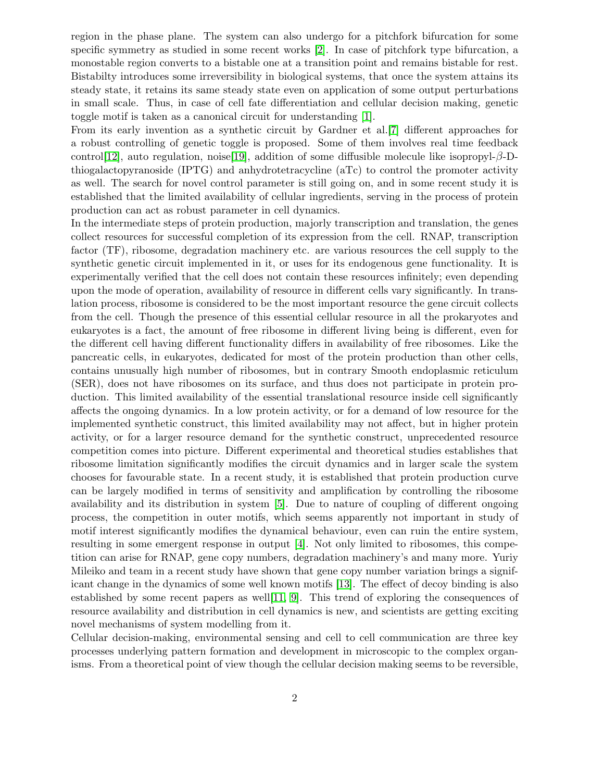region in the phase plane. The system can also undergo for a pitchfork bifurcation for some specific symmetry as studied in some recent works [\[2\]](#page-9-1). In case of pitchfork type bifurcation, a monostable region converts to a bistable one at a transition point and remains bistable for rest. Bistabilty introduces some irreversibility in biological systems, that once the system attains its steady state, it retains its same steady state even on application of some output perturbations in small scale. Thus, in case of cell fate differentiation and cellular decision making, genetic toggle motif is taken as a canonical circuit for understanding [\[1\]](#page-9-2).

From its early invention as a synthetic circuit by Gardner et al.[\[7\]](#page-9-0) different approaches for a robust controlling of genetic toggle is proposed. Some of them involves real time feedback control[\[12\]](#page-10-2), auto regulation, noise[\[19\]](#page-10-3), addition of some diffusible molecule like isopropyl-β-Dthiogalactopyranoside (IPTG) and anhydrotetracycline (aTc) to control the promoter activity as well. The search for novel control parameter is still going on, and in some recent study it is established that the limited availability of cellular ingredients, serving in the process of protein production can act as robust parameter in cell dynamics.

In the intermediate steps of protein production, majorly transcription and translation, the genes collect resources for successful completion of its expression from the cell. RNAP, transcription factor (TF), ribosome, degradation machinery etc. are various resources the cell supply to the synthetic genetic circuit implemented in it, or uses for its endogenous gene functionality. It is experimentally verified that the cell does not contain these resources infinitely; even depending upon the mode of operation, availability of resource in different cells vary significantly. In translation process, ribosome is considered to be the most important resource the gene circuit collects from the cell. Though the presence of this essential cellular resource in all the prokaryotes and eukaryotes is a fact, the amount of free ribosome in different living being is different, even for the different cell having different functionality differs in availability of free ribosomes. Like the pancreatic cells, in eukaryotes, dedicated for most of the protein production than other cells, contains unusually high number of ribosomes, but in contrary Smooth endoplasmic reticulum (SER), does not have ribosomes on its surface, and thus does not participate in protein production. This limited availability of the essential translational resource inside cell significantly affects the ongoing dynamics. In a low protein activity, or for a demand of low resource for the implemented synthetic construct, this limited availability may not affect, but in higher protein activity, or for a larger resource demand for the synthetic construct, unprecedented resource competition comes into picture. Different experimental and theoretical studies establishes that ribosome limitation significantly modifies the circuit dynamics and in larger scale the system chooses for favourable state. In a recent study, it is established that protein production curve can be largely modified in terms of sensitivity and amplification by controlling the ribosome availability and its distribution in system [\[5\]](#page-9-3). Due to nature of coupling of different ongoing process, the competition in outer motifs, which seems apparently not important in study of motif interest significantly modifies the dynamical behaviour, even can ruin the entire system, resulting in some emergent response in output [\[4\]](#page-9-4). Not only limited to ribosomes, this competition can arise for RNAP, gene copy numbers, degradation machinery's and many more. Yuriy Mileiko and team in a recent study have shown that gene copy number variation brings a significant change in the dynamics of some well known motifs [\[13\]](#page-10-4). The effect of decoy binding is also established by some recent papers as well[\[11,](#page-10-5) [9\]](#page-9-5). This trend of exploring the consequences of resource availability and distribution in cell dynamics is new, and scientists are getting exciting novel mechanisms of system modelling from it.

Cellular decision-making, environmental sensing and cell to cell communication are three key processes underlying pattern formation and development in microscopic to the complex organisms. From a theoretical point of view though the cellular decision making seems to be reversible,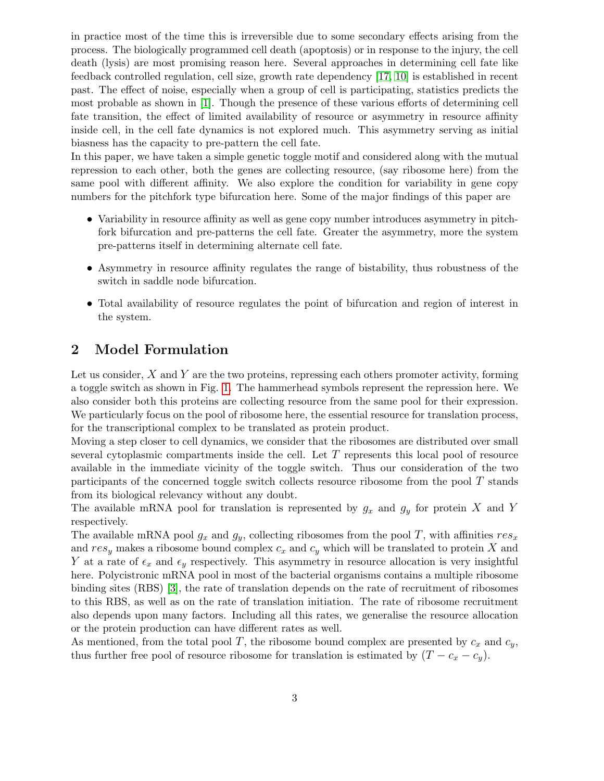in practice most of the time this is irreversible due to some secondary effects arising from the process. The biologically programmed cell death (apoptosis) or in response to the injury, the cell death (lysis) are most promising reason here. Several approaches in determining cell fate like feedback controlled regulation, cell size, growth rate dependency [\[17,](#page-10-6) [10\]](#page-10-7) is established in recent past. The effect of noise, especially when a group of cell is participating, statistics predicts the most probable as shown in [\[1\]](#page-9-2). Though the presence of these various efforts of determining cell fate transition, the effect of limited availability of resource or asymmetry in resource affinity inside cell, in the cell fate dynamics is not explored much. This asymmetry serving as initial biasness has the capacity to pre-pattern the cell fate.

In this paper, we have taken a simple genetic toggle motif and considered along with the mutual repression to each other, both the genes are collecting resource, (say ribosome here) from the same pool with different affinity. We also explore the condition for variability in gene copy numbers for the pitchfork type bifurcation here. Some of the major findings of this paper are

- Variability in resource affinity as well as gene copy number introduces asymmetry in pitchfork bifurcation and pre-patterns the cell fate. Greater the asymmetry, more the system pre-patterns itself in determining alternate cell fate.
- Asymmetry in resource affinity regulates the range of bistability, thus robustness of the switch in saddle node bifurcation.
- Total availability of resource regulates the point of bifurcation and region of interest in the system.

# 2 Model Formulation

Let us consider,  $X$  and  $Y$  are the two proteins, repressing each others promoter activity, forming a toggle switch as shown in Fig. [1.](#page-3-0) The hammerhead symbols represent the repression here. We also consider both this proteins are collecting resource from the same pool for their expression. We particularly focus on the pool of ribosome here, the essential resource for translation process, for the transcriptional complex to be translated as protein product.

Moving a step closer to cell dynamics, we consider that the ribosomes are distributed over small several cytoplasmic compartments inside the cell. Let  $T$  represents this local pool of resource available in the immediate vicinity of the toggle switch. Thus our consideration of the two participants of the concerned toggle switch collects resource ribosome from the pool  $T$  stands from its biological relevancy without any doubt.

The available mRNA pool for translation is represented by  $g_x$  and  $g_y$  for protein X and Y respectively.

The available mRNA pool  $g_x$  and  $g_y$ , collecting ribosomes from the pool T, with affinities  $res_x$ and  $res_y$  makes a ribosome bound complex  $c_x$  and  $c_y$  which will be translated to protein X and Y at a rate of  $\epsilon_x$  and  $\epsilon_y$  respectively. This asymmetry in resource allocation is very insightful here. Polycistronic mRNA pool in most of the bacterial organisms contains a multiple ribosome binding sites (RBS) [\[3\]](#page-9-6), the rate of translation depends on the rate of recruitment of ribosomes to this RBS, as well as on the rate of translation initiation. The rate of ribosome recruitment also depends upon many factors. Including all this rates, we generalise the resource allocation or the protein production can have different rates as well.

As mentioned, from the total pool T, the ribosome bound complex are presented by  $c_x$  and  $c_y$ , thus further free pool of resource ribosome for translation is estimated by  $(T - c_x - c_y)$ .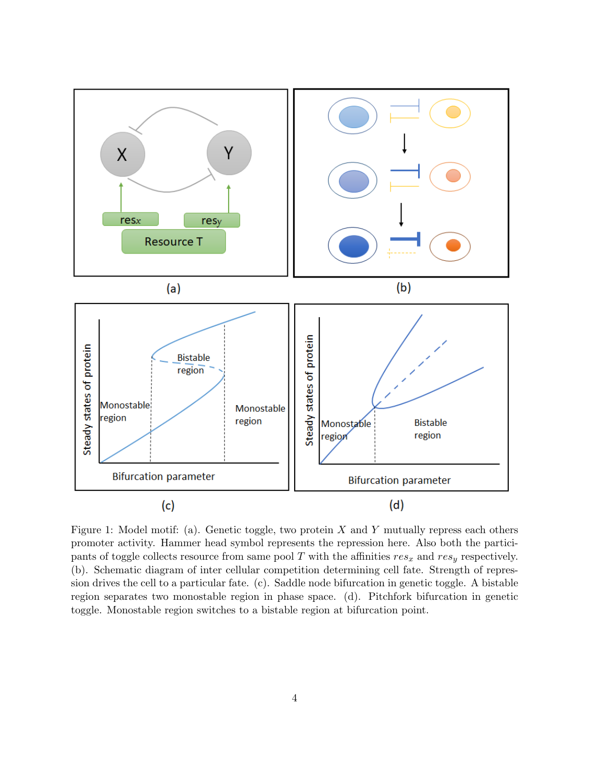<span id="page-3-0"></span>

Figure 1: Model motif: (a). Genetic toggle, two protein  $X$  and  $Y$  mutually repress each others promoter activity. Hammer head symbol represents the repression here. Also both the participants of toggle collects resource from same pool T with the affinities  $res_x$  and  $res_y$  respectively. (b). Schematic diagram of inter cellular competition determining cell fate. Strength of repression drives the cell to a particular fate. (c). Saddle node bifurcation in genetic toggle. A bistable region separates two monostable region in phase space. (d). Pitchfork bifurcation in genetic toggle. Monostable region switches to a bistable region at bifurcation point.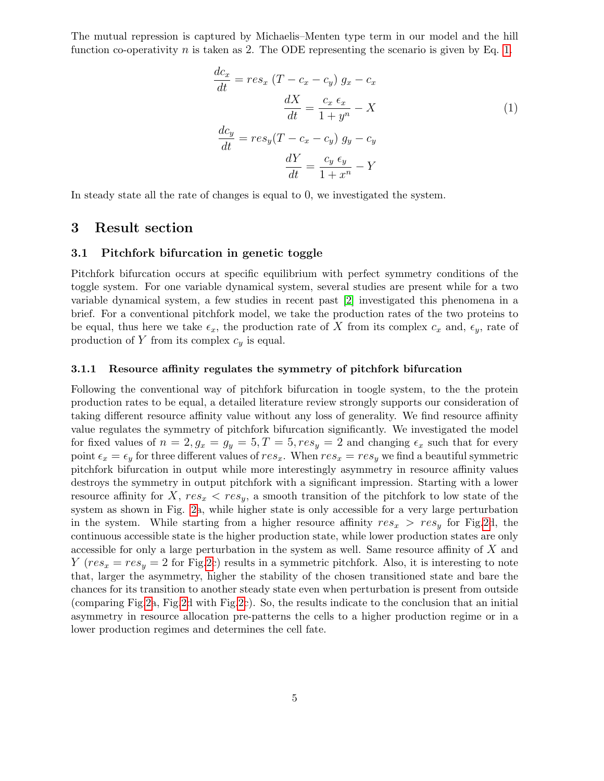The mutual repression is captured by Michaelis–Menten type term in our model and the hill function co-operativity n is taken as 2. The ODE representing the scenario is given by Eq. [1.](#page-4-0)

<span id="page-4-0"></span>
$$
\frac{dc_x}{dt} = res_x (T - c_x - c_y) g_x - c_x
$$

$$
\frac{dX}{dt} = \frac{c_x \epsilon_x}{1 + y^n} - X
$$
(1)
$$
\frac{dc_y}{dt} = res_y (T - c_x - c_y) g_y - c_y
$$

$$
\frac{dY}{dt} = \frac{c_y \epsilon_y}{1 + x^n} - Y
$$

In steady state all the rate of changes is equal to 0, we investigated the system.

### 3 Result section

#### 3.1 Pitchfork bifurcation in genetic toggle

Pitchfork bifurcation occurs at specific equilibrium with perfect symmetry conditions of the toggle system. For one variable dynamical system, several studies are present while for a two variable dynamical system, a few studies in recent past [\[2\]](#page-9-1) investigated this phenomena in a brief. For a conventional pitchfork model, we take the production rates of the two proteins to be equal, thus here we take  $\epsilon_x$ , the production rate of X from its complex  $c_x$  and,  $\epsilon_y$ , rate of production of Y from its complex  $c_y$  is equal.

#### 3.1.1 Resource affinity regulates the symmetry of pitchfork bifurcation

Following the conventional way of pitchfork bifurcation in toogle system, to the the protein production rates to be equal, a detailed literature review strongly supports our consideration of taking different resource affinity value without any loss of generality. We find resource affinity value regulates the symmetry of pitchfork bifurcation significantly. We investigated the model for fixed values of  $n = 2$ ,  $g_x = g_y = 5$ ,  $T = 5$ ,  $res_y = 2$  and changing  $\epsilon_x$  such that for every point  $\epsilon_x = \epsilon_y$  for three different values of  $res_x$ . When  $res_x = res_y$  we find a beautiful symmetric pitchfork bifurcation in output while more interestingly asymmetry in resource affinity values destroys the symmetry in output pitchfork with a significant impression. Starting with a lower resource affinity for  $X, res_x < res_y$ , a smooth transition of the pitchfork to low state of the system as shown in Fig. [2a](#page-5-0), while higher state is only accessible for a very large perturbation in the system. While starting from a higher resource affinity  $res_x > res_y$  for Fig[.2d](#page-5-0), the continuous accessible state is the higher production state, while lower production states are only accessible for only a large perturbation in the system as well. Same resource affinity of  $X$  and  $Y (res_x = res_y = 2$  for Fig[.2c](#page-5-0)) results in a symmetric pitchfork. Also, it is interesting to note that, larger the asymmetry, higher the stability of the chosen transitioned state and bare the chances for its transition to another steady state even when perturbation is present from outside (comparing Fig[.2a](#page-5-0), Fig[.2d](#page-5-0) with Fig[.2c](#page-5-0)). So, the results indicate to the conclusion that an initial asymmetry in resource allocation pre-patterns the cells to a higher production regime or in a lower production regimes and determines the cell fate.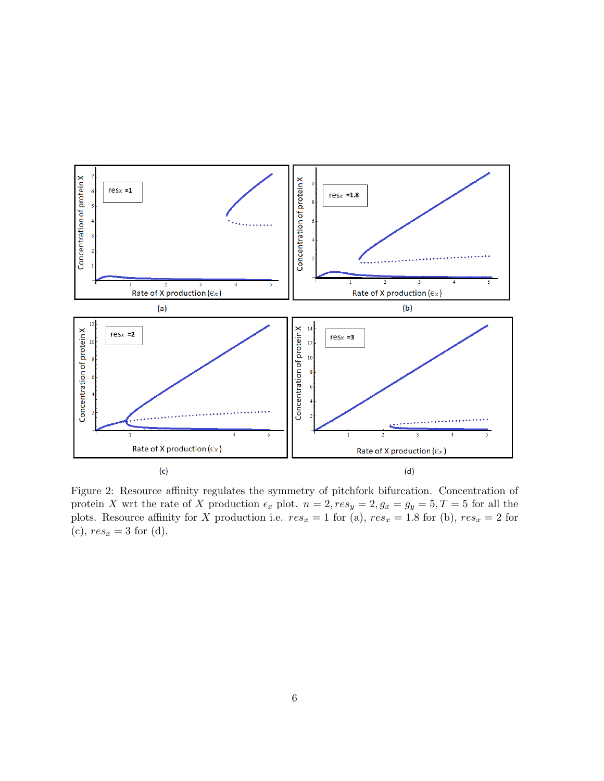<span id="page-5-0"></span>

Figure 2: Resource affinity regulates the symmetry of pitchfork bifurcation. Concentration of protein X wrt the rate of X production  $\epsilon_x$  plot.  $n = 2$ ,  $res_y = 2$ ,  $g_x = g_y = 5$ ,  $T = 5$  for all the plots. Resource affinity for X production i.e.  $res_x = 1$  for (a),  $res_x = 1.8$  for (b),  $res_x = 2$  for (c),  $res_x = 3$  for (d).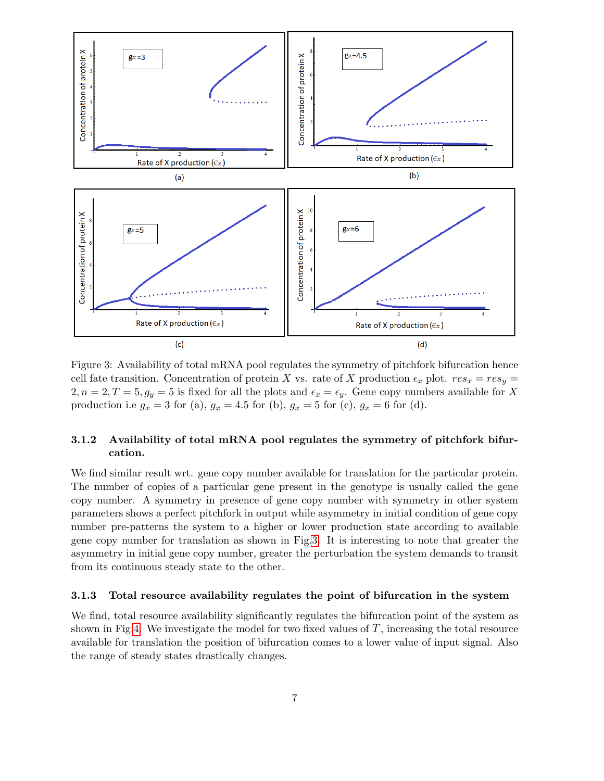<span id="page-6-0"></span>

Figure 3: Availability of total mRNA pool regulates the symmetry of pitchfork bifurcation hence cell fate transition. Concentration of protein X vs. rate of X production  $\epsilon_x$  plot.  $res_x = res_y =$  $2, n = 2, T = 5, g_y = 5$  is fixed for all the plots and  $\epsilon_x = \epsilon_y$ . Gene copy numbers available for X production i.e  $g_x = 3$  for (a),  $g_x = 4.5$  for (b),  $g_x = 5$  for (c),  $g_x = 6$  for (d).

### 3.1.2 Availability of total mRNA pool regulates the symmetry of pitchfork bifurcation.

We find similar result wrt. gene copy number available for translation for the particular protein. The number of copies of a particular gene present in the genotype is usually called the gene copy number. A symmetry in presence of gene copy number with symmetry in other system parameters shows a perfect pitchfork in output while asymmetry in initial condition of gene copy number pre-patterns the system to a higher or lower production state according to available gene copy number for translation as shown in Fig[.3.](#page-6-0) It is interesting to note that greater the asymmetry in initial gene copy number, greater the perturbation the system demands to transit from its continuous steady state to the other.

#### 3.1.3 Total resource availability regulates the point of bifurcation in the system

We find, total resource availability significantly regulates the bifurcation point of the system as shown in Fig[.4.](#page-7-0) We investigate the model for two fixed values of  $T$ , increasing the total resource available for translation the position of bifurcation comes to a lower value of input signal. Also the range of steady states drastically changes.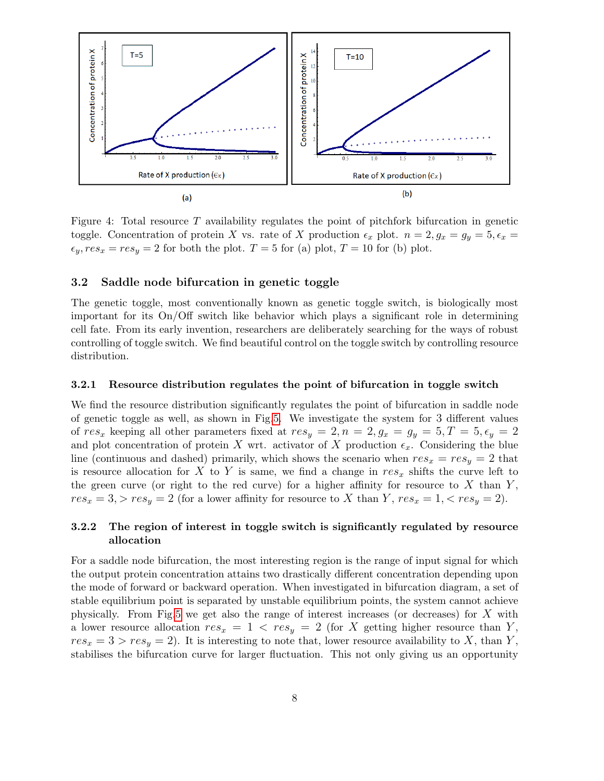<span id="page-7-0"></span>

Figure 4: Total resource  $T$  availability regulates the point of pitchfork bifurcation in genetic toggle. Concentration of protein X vs. rate of X production  $\epsilon_x$  plot.  $n = 2, g_x = g_y = 5, \epsilon_x =$  $\epsilon_y, res_x = res_y = 2$  for both the plot.  $T = 5$  for (a) plot,  $T = 10$  for (b) plot.

#### 3.2 Saddle node bifurcation in genetic toggle

The genetic toggle, most conventionally known as genetic toggle switch, is biologically most important for its On/Off switch like behavior which plays a significant role in determining cell fate. From its early invention, researchers are deliberately searching for the ways of robust controlling of toggle switch. We find beautiful control on the toggle switch by controlling resource distribution.

#### 3.2.1 Resource distribution regulates the point of bifurcation in toggle switch

We find the resource distribution significantly regulates the point of bifurcation in saddle node of genetic toggle as well, as shown in Fig[.5.](#page-8-0) We investigate the system for 3 different values of res<sub>x</sub> keeping all other parameters fixed at  $res_y = 2, n = 2, g_x = g_y = 5, T = 5, \epsilon_y = 2$ and plot concentration of protein X wrt. activator of X production  $\epsilon_x$ . Considering the blue line (continuous and dashed) primarily, which shows the scenario when  $res_x = res_y = 2$  that is resource allocation for X to Y is same, we find a change in  $res_x$  shifts the curve left to the green curve (or right to the red curve) for a higher affinity for resource to X than  $Y$ ,  $res_x = 3$ ,  $> res_y = 2$  (for a lower affinity for resource to X than Y,  $res_x = 1$ ,  $< res_y = 2$ ).

#### 3.2.2 The region of interest in toggle switch is significantly regulated by resource allocation

For a saddle node bifurcation, the most interesting region is the range of input signal for which the output protein concentration attains two drastically different concentration depending upon the mode of forward or backward operation. When investigated in bifurcation diagram, a set of stable equilibrium point is separated by unstable equilibrium points, the system cannot achieve physically. From Fig[.5](#page-8-0) we get also the range of interest increases (or decreases) for  $X$  with a lower resource allocation  $res_x = 1 < res_y = 2$  (for X getting higher resource than Y,  $res_x = 3 > res_y = 2$ . It is interesting to note that, lower resource availability to X, than Y, stabilises the bifurcation curve for larger fluctuation. This not only giving us an opportunity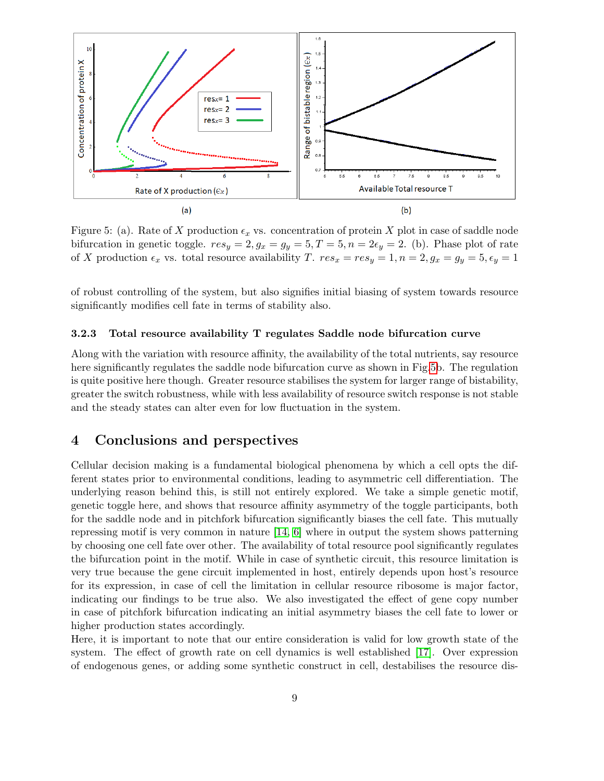<span id="page-8-0"></span>

Figure 5: (a). Rate of X production  $\epsilon_x$  vs. concentration of protein X plot in case of saddle node bifurcation in genetic toggle.  $res_y = 2$ ,  $g_x = g_y = 5$ ,  $T = 5$ ,  $n = 2\epsilon_y = 2$ . (b). Phase plot of rate of X production  $\epsilon_x$  vs. total resource availability T.  $res_x = res_y = 1, n = 2, g_x = g_y = 5, \epsilon_y = 1$ 

of robust controlling of the system, but also signifies initial biasing of system towards resource significantly modifies cell fate in terms of stability also.

#### 3.2.3 Total resource availability T regulates Saddle node bifurcation curve

Along with the variation with resource affinity, the availability of the total nutrients, say resource here significantly regulates the saddle node bifurcation curve as shown in Fig[.5b](#page-8-0). The regulation is quite positive here though. Greater resource stabilises the system for larger range of bistability, greater the switch robustness, while with less availability of resource switch response is not stable and the steady states can alter even for low fluctuation in the system.

# 4 Conclusions and perspectives

Cellular decision making is a fundamental biological phenomena by which a cell opts the different states prior to environmental conditions, leading to asymmetric cell differentiation. The underlying reason behind this, is still not entirely explored. We take a simple genetic motif, genetic toggle here, and shows that resource affinity asymmetry of the toggle participants, both for the saddle node and in pitchfork bifurcation significantly biases the cell fate. This mutually repressing motif is very common in nature [\[14,](#page-10-8) [6\]](#page-9-7) where in output the system shows patterning by choosing one cell fate over other. The availability of total resource pool significantly regulates the bifurcation point in the motif. While in case of synthetic circuit, this resource limitation is very true because the gene circuit implemented in host, entirely depends upon host's resource for its expression, in case of cell the limitation in cellular resource ribosome is major factor, indicating our findings to be true also. We also investigated the effect of gene copy number in case of pitchfork bifurcation indicating an initial asymmetry biases the cell fate to lower or higher production states accordingly.

Here, it is important to note that our entire consideration is valid for low growth state of the system. The effect of growth rate on cell dynamics is well established [\[17\]](#page-10-6). Over expression of endogenous genes, or adding some synthetic construct in cell, destabilises the resource dis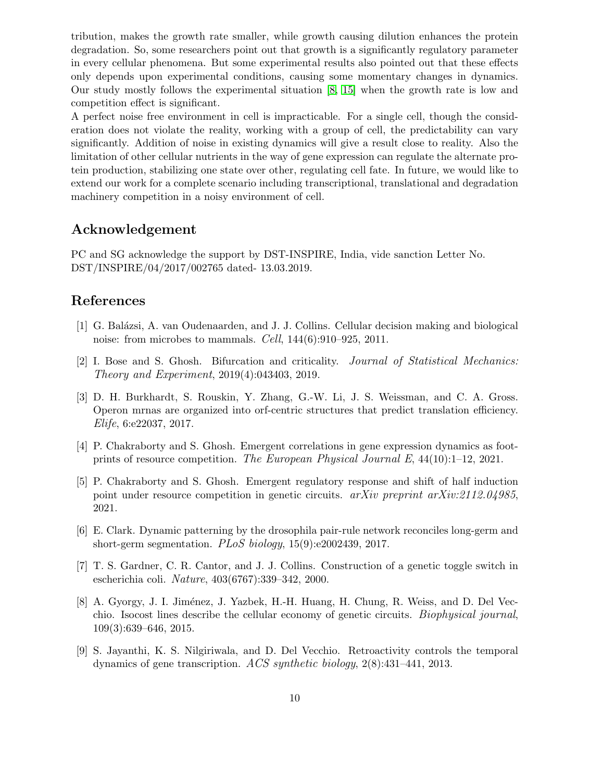tribution, makes the growth rate smaller, while growth causing dilution enhances the protein degradation. So, some researchers point out that growth is a significantly regulatory parameter in every cellular phenomena. But some experimental results also pointed out that these effects only depends upon experimental conditions, causing some momentary changes in dynamics. Our study mostly follows the experimental situation [\[8,](#page-9-8) [15\]](#page-10-9) when the growth rate is low and competition effect is significant.

A perfect noise free environment in cell is impracticable. For a single cell, though the consideration does not violate the reality, working with a group of cell, the predictability can vary significantly. Addition of noise in existing dynamics will give a result close to reality. Also the limitation of other cellular nutrients in the way of gene expression can regulate the alternate protein production, stabilizing one state over other, regulating cell fate. In future, we would like to extend our work for a complete scenario including transcriptional, translational and degradation machinery competition in a noisy environment of cell.

## Acknowledgement

PC and SG acknowledge the support by DST-INSPIRE, India, vide sanction Letter No. DST/INSPIRE/04/2017/002765 dated- 13.03.2019.

# References

- <span id="page-9-2"></span>[1] G. Balázsi, A. van Oudenaarden, and J. J. Collins. Cellular decision making and biological noise: from microbes to mammals. Cell, 144(6):910–925, 2011.
- <span id="page-9-1"></span>[2] I. Bose and S. Ghosh. Bifurcation and criticality. Journal of Statistical Mechanics: Theory and Experiment, 2019(4):043403, 2019.
- <span id="page-9-6"></span>[3] D. H. Burkhardt, S. Rouskin, Y. Zhang, G.-W. Li, J. S. Weissman, and C. A. Gross. Operon mrnas are organized into orf-centric structures that predict translation efficiency. Elife, 6:e22037, 2017.
- <span id="page-9-4"></span>[4] P. Chakraborty and S. Ghosh. Emergent correlations in gene expression dynamics as footprints of resource competition. The European Physical Journal E, 44(10):1–12, 2021.
- <span id="page-9-3"></span>[5] P. Chakraborty and S. Ghosh. Emergent regulatory response and shift of half induction point under resource competition in genetic circuits.  $arXiv$  preprint  $arXiv:2112.04985$ , 2021.
- <span id="page-9-7"></span>[6] E. Clark. Dynamic patterning by the drosophila pair-rule network reconciles long-germ and short-germ segmentation.  $PLoS$  biology, 15(9):e2002439, 2017.
- <span id="page-9-0"></span>[7] T. S. Gardner, C. R. Cantor, and J. J. Collins. Construction of a genetic toggle switch in escherichia coli. Nature, 403(6767):339–342, 2000.
- <span id="page-9-8"></span>[8] A. Gyorgy, J. I. Jiménez, J. Yazbek, H.-H. Huang, H. Chung, R. Weiss, and D. Del Vecchio. Isocost lines describe the cellular economy of genetic circuits. Biophysical journal, 109(3):639–646, 2015.
- <span id="page-9-5"></span>[9] S. Jayanthi, K. S. Nilgiriwala, and D. Del Vecchio. Retroactivity controls the temporal dynamics of gene transcription. ACS synthetic biology,  $2(8)$ :431–441, 2013.